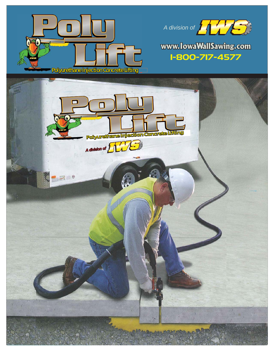